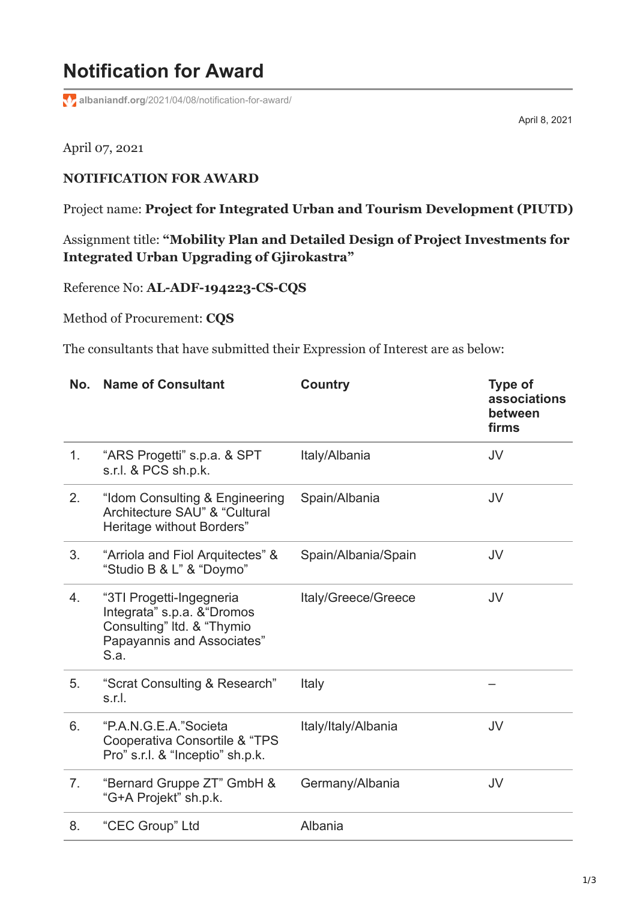## **Notification for Award**

**albaniandf.org**[/2021/04/08/notification-for-award/](https://www.albaniandf.org/2021/04/08/notification-for-award/)

April 8, 2021

## April 07, 2021

## **NOTIFICATION FOR AWARD**

Project name: **Project for Integrated Urban and Tourism Development (PIUTD)**

Assignment title: **"Mobility Plan and Detailed Design of Project Investments for Integrated Urban Upgrading of Gjirokastra"**

Reference No: **AL-ADF-194223-CS-CQS**

Method of Procurement: **CQS**

The consultants that have submitted their Expression of Interest are as below:

| No.            | <b>Name of Consultant</b>                                                                                                   | <b>Country</b>      | <b>Type of</b><br>associations<br>between<br>firms |
|----------------|-----------------------------------------------------------------------------------------------------------------------------|---------------------|----------------------------------------------------|
| 1 <sub>1</sub> | "ARS Progetti" s.p.a. & SPT<br>s.r.l. & PCS sh.p.k.                                                                         | Italy/Albania       | JV                                                 |
| 2.             | "Idom Consulting & Engineering<br>Architecture SAU" & "Cultural<br>Heritage without Borders"                                | Spain/Albania       | JV                                                 |
| 3.             | "Arriola and Fiol Arquitectes" &<br>"Studio B & L" & "Doymo"                                                                | Spain/Albania/Spain | JV                                                 |
| 4.             | "3TI Progetti-Ingegneria<br>Integrata" s.p.a. & "Dromos<br>Consulting" Itd. & "Thymio<br>Papayannis and Associates"<br>S.a. | Italy/Greece/Greece | JV                                                 |
| 5.             | "Scrat Consulting & Research"<br>s.r.l.                                                                                     | Italy               |                                                    |
| 6.             | "P.A.N.G.E.A."Societa<br>Cooperativa Consortile & "TPS<br>Pro" s.r.l. & "Inceptio" sh.p.k.                                  | Italy/Italy/Albania | JV                                                 |
| 7.             | "Bernard Gruppe ZT" GmbH &<br>"G+A Projekt" sh.p.k.                                                                         | Germany/Albania     | JV                                                 |
| 8.             | "CEC Group" Ltd                                                                                                             | Albania             |                                                    |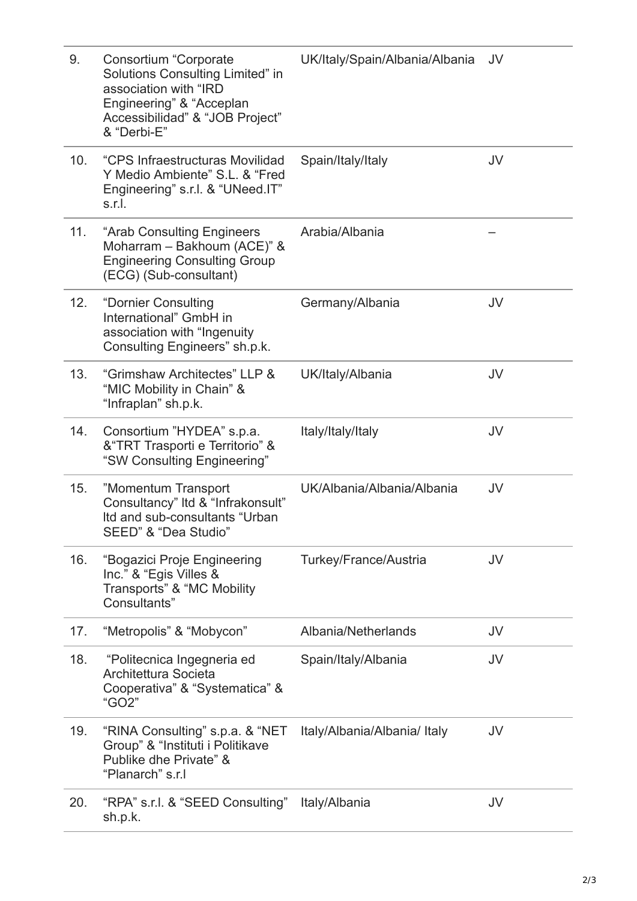| 9.  | Consortium "Corporate<br>Solutions Consulting Limited" in<br>association with "IRD<br>Engineering" & "Acceplan<br>Accessibilidad" & "JOB Project"<br>& "Derbi-E" | UK/Italy/Spain/Albania/Albania | JV |
|-----|------------------------------------------------------------------------------------------------------------------------------------------------------------------|--------------------------------|----|
| 10. | "CPS Infraestructuras Movilidad<br>Y Medio Ambiente" S.L. & "Fred<br>Engineering" s.r.l. & "UNeed.IT"<br>s.r.l.                                                  | Spain/Italy/Italy              | JV |
| 11. | "Arab Consulting Engineers<br>Moharram - Bakhoum (ACE)" &<br><b>Engineering Consulting Group</b><br>(ECG) (Sub-consultant)                                       | Arabia/Albania                 |    |
| 12. | "Dornier Consulting<br>International" GmbH in<br>association with "Ingenuity<br>Consulting Engineers" sh.p.k.                                                    | Germany/Albania                | JV |
| 13. | "Grimshaw Architectes" LLP &<br>"MIC Mobility in Chain" &<br>"Infraplan" sh.p.k.                                                                                 | UK/Italy/Albania               | JV |
| 14. | Consortium "HYDEA" s.p.a.<br>& "TRT Trasporti e Territorio" &<br>"SW Consulting Engineering"                                                                     | Italy/Italy/Italy              | JV |
| 15. | "Momentum Transport<br>Consultancy" Itd & "Infrakonsult"<br>Itd and sub-consultants "Urban<br>SEED" & "Dea Studio"                                               | UK/Albania/Albania/Albania     | JV |
| 16. | "Bogazici Proje Engineering<br>Inc." & "Egis Villes &<br>Transports" & "MC Mobility<br>Consultants"                                                              | Turkey/France/Austria          | JV |
| 17. | "Metropolis" & "Mobycon"                                                                                                                                         | Albania/Netherlands            | JV |
| 18. | "Politecnica Ingegneria ed<br>Architettura Societa<br>Cooperativa" & "Systematica" &<br>"GO2"                                                                    | Spain/Italy/Albania            | JV |
| 19. | "RINA Consulting" s.p.a. & "NET<br>Group" & "Instituti i Politikave<br>Publike dhe Private" &<br>"Planarch" s.r.l                                                | Italy/Albania/Albania/ Italy   | JV |
| 20. | "RPA" s.r.l. & "SEED Consulting"<br>sh.p.k.                                                                                                                      | Italy/Albania                  | JV |